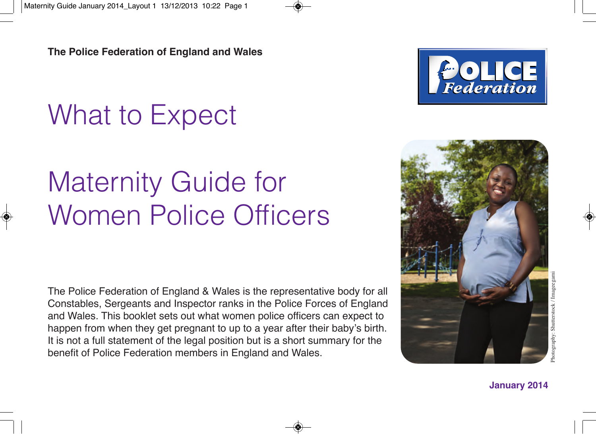# What to Expect

# Maternity Guide for Women Police Officers

The Police Federation of England & Wales is the representative body for all Constables, Sergeants and Inspector ranks in the Police Forces of England and Wales. This booklet sets out what women police officers can expect to happen from when they get pregnant to up to a year after their baby's birth. It is not a full statement of the legal position but is a short summary for the benefit of Police Federation members in England and Wales.





**January 2014**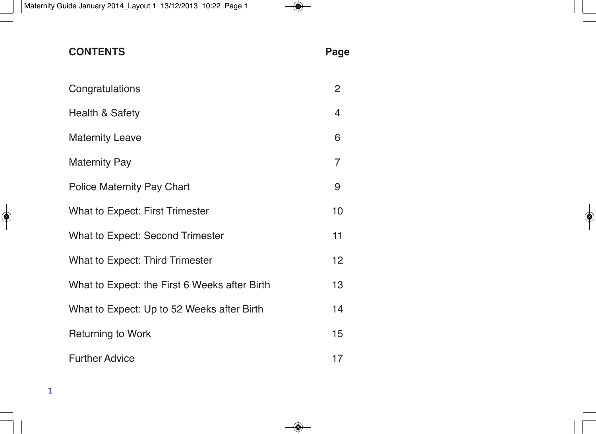| <b>CONTENTS</b>                               | Page           |
|-----------------------------------------------|----------------|
| Congratulations                               | $\overline{2}$ |
| Health & Safety                               | 4              |
| <b>Maternity Leave</b>                        | 6              |
| <b>Maternity Pay</b>                          | 7              |
| Police Maternity Pay Chart                    | 9              |
| What to Expect: First Trimester               | 10             |
| <b>What to Expect: Second Trimester</b>       | 11             |
| What to Expect: Third Trimester               | 12             |
| What to Expect: the First 6 Weeks after Birth | 13             |
| What to Expect: Up to 52 Weeks after Birth    | 14             |
| <b>Returning to Work</b>                      | 15             |
| <b>Further Advice</b>                         | 17             |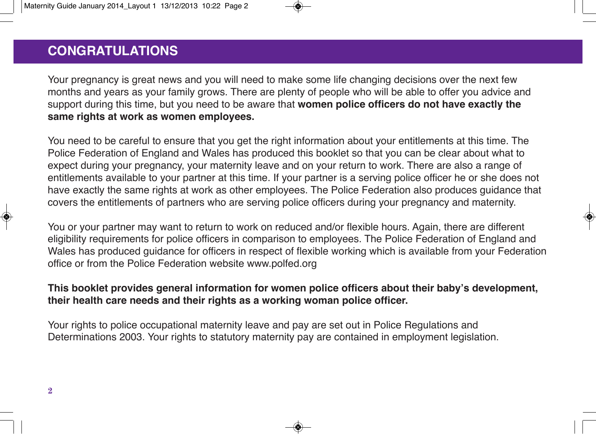## **CONGRATULATIONS CONGRATULATIONS**

Your pregnancy is great news and you will need to make some life changing decisions over the next few months and years as your family grows. There are plenty of people who will be able to offer you advice and support during this time, but you need to be aware that **women police officers do not have exactly the same rights at work as women employees.**

You need to be careful to ensure that you get the right information about your entitlements at this time. The Police Federation of England and Wales has produced this booklet so that you can be clear about what to expect during your pregnancy, your maternity leave and on your return to work. There are also a range of entitlements available to your partner at this time. If your partner is a serving police officer he or she does not have exactly the same rights at work as other employees. The Police Federation also produces guidance that covers the entitlements of partners who are serving police officers during your pregnancy and maternity.

You or your partner may want to return to work on reduced and/or flexible hours. Again, there are different eligibility requirements for police officers in comparison to employees. The Police Federation of England and Wales has produced guidance for officers in respect of flexible working which is available from your Federation office or from the Police Federation website www.polfed.org

#### **This booklet provides general information for women police officers about their baby's development, their health care needs and their rights as a working woman police officer.**

Your rights to police occupational maternity leave and pay are set out in Police Regulations and Determinations 2003. Your rights to statutory maternity pay are contained in employment legislation.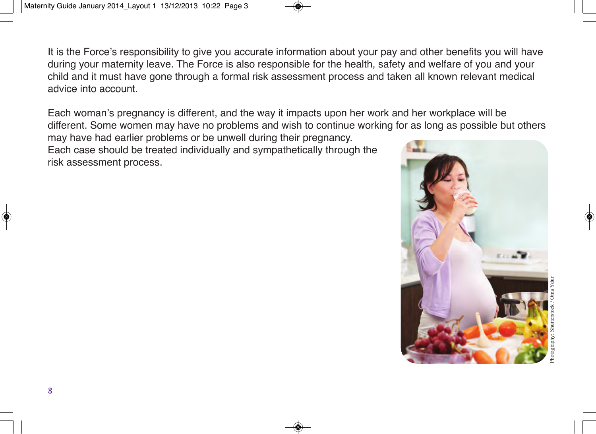It is the Force's responsibility to give you accurate information about your pay and other benefits you will have during your maternity leave. The Force is also responsible for the health, safety and welfare of you and your child and it must have gone through a formal risk assessment process and taken all known relevant medical advice into account.

Each woman's pregnancy is different, and the way it impacts upon her work and her workplace will be different. Some women may have no problems and wish to continue working for as long as possible but others

may have had earlier problems or be unwell during their pregnancy. Each case should be treated individually and sympathetically through the risk assessment process.

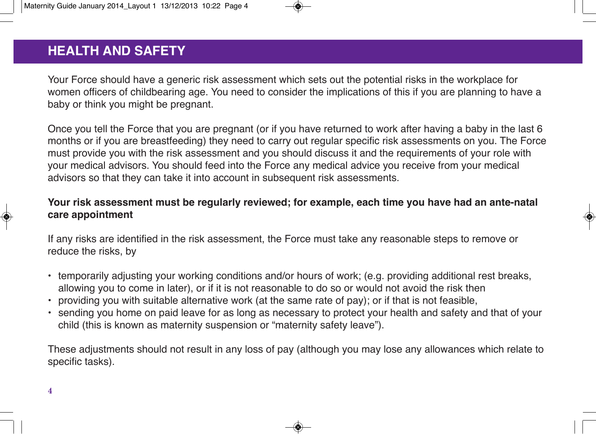# **HEALTH & SAFETY HEALTH AND SAFETY**

Your Force should have a generic risk assessment which sets out the potential risks in the workplace for women officers of childbearing age. You need to consider the implications of this if you are planning to have a baby or think you might be pregnant.

Once you tell the Force that you are pregnant (or if you have returned to work after having a baby in the last 6 months or if you are breastfeeding) they need to carry out regular specific risk assessments on you. The Force must provide you with the risk assessment and you should discuss it and the requirements of your role with your medical advisors. You should feed into the Force any medical advice you receive from your medical advisors so that they can take it into account in subsequent risk assessments.

#### **Your risk assessment must be regularly reviewed; for example, each time you have had an ante-natal care appointment**

If any risks are identified in the risk assessment, the Force must take any reasonable steps to remove or reduce the risks, by

- temporarily adjusting your working conditions and/or hours of work; (e.g. providing additional rest breaks, allowing you to come in later), or if it is not reasonable to do so or would not avoid the risk then
- providing you with suitable alternative work (at the same rate of pay); or if that is not feasible,
- sending you home on paid leave for as long as necessary to protect your health and safety and that of your child (this is known as maternity suspension or "maternity safety leave").

These adjustments should not result in any loss of pay (although you may lose any allowances which relate to specific tasks).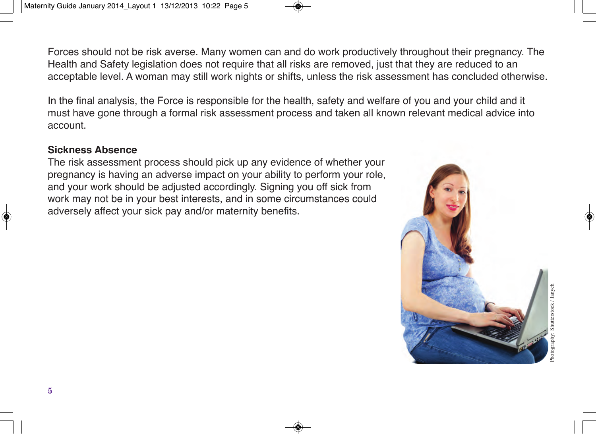Forces should not be risk averse. Many women can and do work productively throughout their pregnancy. The Health and Safety legislation does not require that all risks are removed, just that they are reduced to an acceptable level. A woman may still work nights or shifts, unless the risk assessment has concluded otherwise.

In the final analysis, the Force is responsible for the health, safety and welfare of you and your child and it must have gone through a formal risk assessment process and taken all known relevant medical advice into account.

#### **Sickness Absence**

The risk assessment process should pick up any evidence of whether your pregnancy is having an adverse impact on your ability to perform your role, and your work should be adjusted accordingly. Signing you off sick from work may not be in your best interests, and in some circumstances could adversely affect your sick pay and/or maternity benefits.

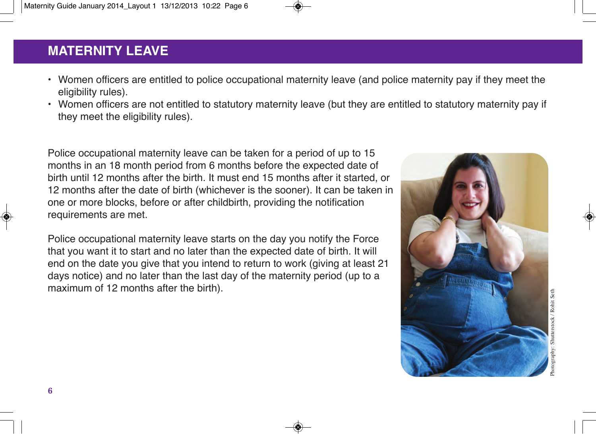# **MATERNITY LEAVE MATERNITY LEAVE**

- Women officers are entitled to police occupational maternity leave (and police maternity pay if they meet the eligibility rules).
- Women officers are not entitled to statutory maternity leave (but they are entitled to statutory maternity pay if they meet the eligibility rules).

Police occupational maternity leave can be taken for a period of up to 15 months in an 18 month period from 6 months before the expected date of birth until 12 months after the birth. It must end 15 months after it started, or 12 months after the date of birth (whichever is the sooner). It can be taken in one or more blocks, before or after childbirth, providing the notification requirements are met.

Police occupational maternity leave starts on the day you notify the Force that you want it to start and no later than the expected date of birth. It will end on the date you give that you intend to return to work (giving at least 21 days notice) and no later than the last day of the maternity period (up to a maximum of 12 months after the birth).

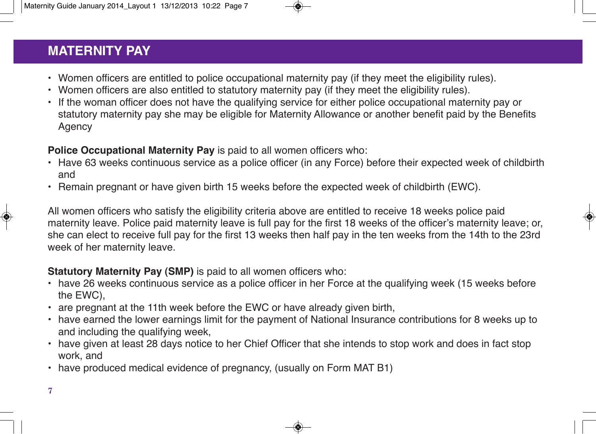# **MATERNITY PAY MATERNITY PAY**

- Women officers are entitled to police occupational maternity pay (if they meet the eligibility rules).
- Women officers are also entitled to statutory maternity pay (if they meet the eligibility rules).
- If the woman officer does not have the qualifying service for either police occupational maternity pay or statutory maternity pay she may be eligible for Maternity Allowance or another benefit paid by the Benefits **Agency**

#### **Police Occupational Maternity Pay** is paid to all women officers who:

- Have 63 weeks continuous service as a police officer (in any Force) before their expected week of childbirth and
- Remain pregnant or have given birth 15 weeks before the expected week of childbirth (EWC).

All women officers who satisfy the eligibility criteria above are entitled to receive 18 weeks police paid maternity leave. Police paid maternity leave is full pay for the first 18 weeks of the officer's maternity leave; or, she can elect to receive full pay for the first 13 weeks then half pay in the ten weeks from the 14th to the 23rd week of her maternity leave.

#### **Statutory Maternity Pay (SMP)** is paid to all women officers who:

- have 26 weeks continuous service as a police officer in her Force at the qualifying week (15 weeks before the EWC),
- are pregnant at the 11th week before the EWC or have already given birth,
- have earned the lower earnings limit for the payment of National Insurance contributions for 8 weeks up to and including the qualifying week,
- have given at least 28 days notice to her Chief Officer that she intends to stop work and does in fact stop work, and
- have produced medical evidence of pregnancy, (usually on Form MAT B1)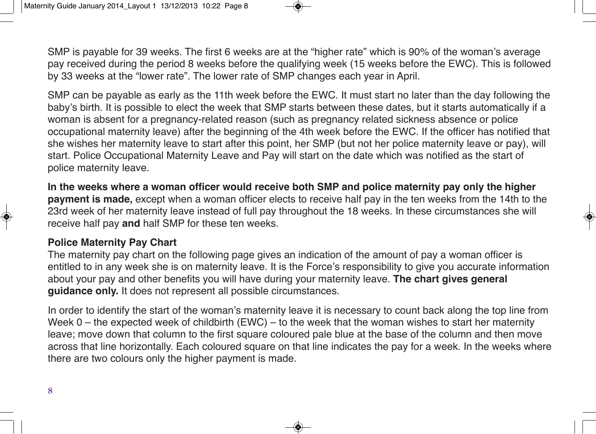SMP is payable for 39 weeks. The first 6 weeks are at the "higher rate" which is 90% of the woman's average pay received during the period 8 weeks before the qualifying week (15 weeks before the EWC). This is followed by 33 weeks at the "lower rate". The lower rate of SMP changes each year in April.

SMP can be payable as early as the 11th week before the EWC. It must start no later than the day following the baby's birth. It is possible to elect the week that SMP starts between these dates, but it starts automatically if a woman is absent for a pregnancy-related reason (such as pregnancy related sickness absence or police occupational maternity leave) after the beginning of the 4th week before the EWC. If the officer has notified that she wishes her maternity leave to start after this point, her SMP (but not her police maternity leave or pay), will start. Police Occupational Maternity Leave and Pay will start on the date which was notified as the start of police maternity leave.

**In the weeks where a woman officer would receive both SMP and police maternity pay only the higher payment is made,** except when a woman officer elects to receive half pay in the ten weeks from the 14th to the 23rd week of her maternity leave instead of full pay throughout the 18 weeks. In these circumstances she will receive half pay **and** half SMP for these ten weeks.

#### **Police Maternity Pay Chart**

The maternity pay chart on the following page gives an indication of the amount of pay a woman officer is entitled to in any week she is on maternity leave. It is the Force's responsibility to give you accurate information about your pay and other benefits you will have during your maternity leave. **The chart gives general guidance only.** It does not represent all possible circumstances.

In order to identify the start of the woman's maternity leave it is necessary to count back along the top line from Week 0 – the expected week of childbirth (EWC) – to the week that the woman wishes to start her maternity leave; move down that column to the first square coloured pale blue at the base of the column and then move across that line horizontally. Each coloured square on that line indicates the pay for a week. In the weeks where there are two colours only the higher payment is made.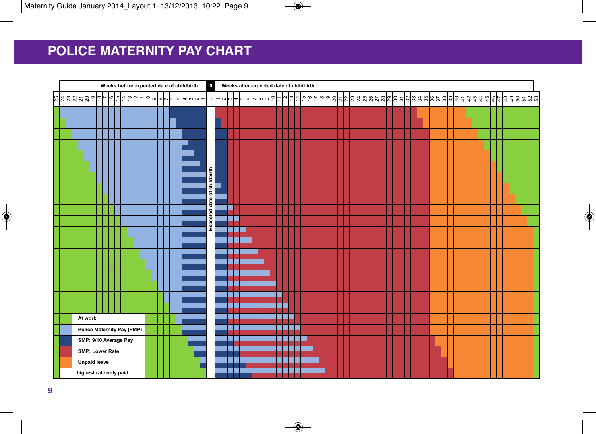# **Police Maternity Pay Chart POLICE MATERNITY PAY CHART**

| Weeks before expected date of childbirth |  |  |  |                                                            |  |  |  |  |  | $\bullet$ |  | Weeks after expected date of childbirth |  |  |                             |                          |                  |  |          |    |  |  |         |  |  |  |  |  |  |  |  |  |  |  |  |  |  |  |  |
|------------------------------------------|--|--|--|------------------------------------------------------------|--|--|--|--|--|-----------|--|-----------------------------------------|--|--|-----------------------------|--------------------------|------------------|--|----------|----|--|--|---------|--|--|--|--|--|--|--|--|--|--|--|--|--|--|--|--|
|                                          |  |  |  | % % % % & @ @ ¢ ¢ @ # @ # = @ @ ~ @ @  <del>a</del>  @ ~ ~ |  |  |  |  |  |           |  |                                         |  |  | $\circ$                     | $\overline{\phantom{0}}$ | $N \times 400 -$ |  | $\infty$ | 10 |  |  | 한 부부 하다 |  |  |  |  |  |  |  |  |  |  |  |  |  |  |  |  |
|                                          |  |  |  |                                                            |  |  |  |  |  |           |  |                                         |  |  |                             |                          |                  |  |          |    |  |  |         |  |  |  |  |  |  |  |  |  |  |  |  |  |  |  |  |
|                                          |  |  |  |                                                            |  |  |  |  |  |           |  |                                         |  |  |                             |                          |                  |  |          |    |  |  |         |  |  |  |  |  |  |  |  |  |  |  |  |  |  |  |  |
|                                          |  |  |  |                                                            |  |  |  |  |  |           |  |                                         |  |  |                             |                          |                  |  |          |    |  |  |         |  |  |  |  |  |  |  |  |  |  |  |  |  |  |  |  |
|                                          |  |  |  |                                                            |  |  |  |  |  |           |  |                                         |  |  |                             |                          |                  |  |          |    |  |  |         |  |  |  |  |  |  |  |  |  |  |  |  |  |  |  |  |
|                                          |  |  |  |                                                            |  |  |  |  |  |           |  |                                         |  |  |                             |                          |                  |  |          |    |  |  |         |  |  |  |  |  |  |  |  |  |  |  |  |  |  |  |  |
|                                          |  |  |  |                                                            |  |  |  |  |  |           |  |                                         |  |  |                             |                          |                  |  |          |    |  |  |         |  |  |  |  |  |  |  |  |  |  |  |  |  |  |  |  |
|                                          |  |  |  |                                                            |  |  |  |  |  |           |  |                                         |  |  |                             |                          |                  |  |          |    |  |  |         |  |  |  |  |  |  |  |  |  |  |  |  |  |  |  |  |
|                                          |  |  |  |                                                            |  |  |  |  |  |           |  |                                         |  |  |                             |                          |                  |  |          |    |  |  |         |  |  |  |  |  |  |  |  |  |  |  |  |  |  |  |  |
|                                          |  |  |  |                                                            |  |  |  |  |  |           |  |                                         |  |  | Expected date of childbirth |                          |                  |  |          |    |  |  |         |  |  |  |  |  |  |  |  |  |  |  |  |  |  |  |  |
|                                          |  |  |  |                                                            |  |  |  |  |  |           |  |                                         |  |  |                             |                          |                  |  |          |    |  |  |         |  |  |  |  |  |  |  |  |  |  |  |  |  |  |  |  |
|                                          |  |  |  |                                                            |  |  |  |  |  |           |  |                                         |  |  |                             |                          |                  |  |          |    |  |  |         |  |  |  |  |  |  |  |  |  |  |  |  |  |  |  |  |
|                                          |  |  |  |                                                            |  |  |  |  |  |           |  |                                         |  |  |                             |                          |                  |  |          |    |  |  |         |  |  |  |  |  |  |  |  |  |  |  |  |  |  |  |  |
|                                          |  |  |  |                                                            |  |  |  |  |  |           |  |                                         |  |  |                             |                          |                  |  |          |    |  |  |         |  |  |  |  |  |  |  |  |  |  |  |  |  |  |  |  |
|                                          |  |  |  |                                                            |  |  |  |  |  |           |  |                                         |  |  |                             |                          |                  |  |          |    |  |  |         |  |  |  |  |  |  |  |  |  |  |  |  |  |  |  |  |
|                                          |  |  |  |                                                            |  |  |  |  |  |           |  |                                         |  |  |                             |                          |                  |  |          |    |  |  |         |  |  |  |  |  |  |  |  |  |  |  |  |  |  |  |  |
|                                          |  |  |  |                                                            |  |  |  |  |  |           |  |                                         |  |  |                             |                          |                  |  |          |    |  |  |         |  |  |  |  |  |  |  |  |  |  |  |  |  |  |  |  |
|                                          |  |  |  |                                                            |  |  |  |  |  |           |  |                                         |  |  |                             |                          |                  |  |          |    |  |  |         |  |  |  |  |  |  |  |  |  |  |  |  |  |  |  |  |
|                                          |  |  |  |                                                            |  |  |  |  |  |           |  |                                         |  |  |                             |                          |                  |  |          |    |  |  |         |  |  |  |  |  |  |  |  |  |  |  |  |  |  |  |  |
|                                          |  |  |  |                                                            |  |  |  |  |  |           |  |                                         |  |  |                             |                          |                  |  |          |    |  |  |         |  |  |  |  |  |  |  |  |  |  |  |  |  |  |  |  |
|                                          |  |  |  | At work                                                    |  |  |  |  |  |           |  |                                         |  |  |                             |                          |                  |  |          |    |  |  |         |  |  |  |  |  |  |  |  |  |  |  |  |  |  |  |  |
|                                          |  |  |  | Police Maternity Pay (PMP)                                 |  |  |  |  |  |           |  |                                         |  |  |                             |                          |                  |  |          |    |  |  |         |  |  |  |  |  |  |  |  |  |  |  |  |  |  |  |  |
|                                          |  |  |  | SMP: 9/10 Average Pay                                      |  |  |  |  |  |           |  |                                         |  |  |                             |                          |                  |  |          |    |  |  |         |  |  |  |  |  |  |  |  |  |  |  |  |  |  |  |  |
|                                          |  |  |  | <b>SMP: Lower Rate</b>                                     |  |  |  |  |  |           |  |                                         |  |  |                             |                          |                  |  |          |    |  |  |         |  |  |  |  |  |  |  |  |  |  |  |  |  |  |  |  |
|                                          |  |  |  | <b>Unpaid leave</b>                                        |  |  |  |  |  |           |  |                                         |  |  |                             |                          |                  |  |          |    |  |  |         |  |  |  |  |  |  |  |  |  |  |  |  |  |  |  |  |
|                                          |  |  |  | highest rate only paid                                     |  |  |  |  |  |           |  |                                         |  |  |                             |                          |                  |  |          |    |  |  |         |  |  |  |  |  |  |  |  |  |  |  |  |  |  |  |  |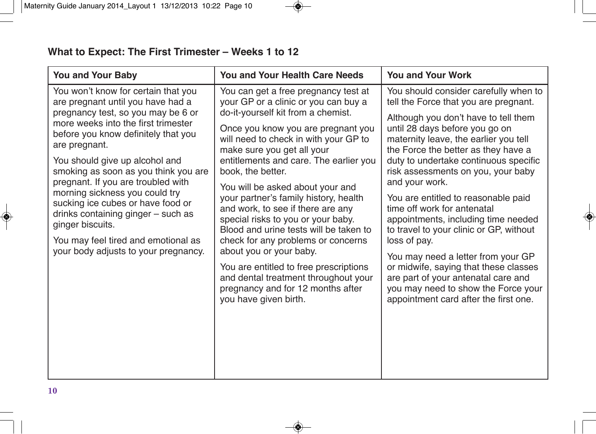| <b>You and Your Baby</b>                                                                                                                                                                                                                                                                                                                                                                                                                                                                                                                      | <b>You and Your Health Care Needs</b>                                                                                                                                                                                                                                                                                                                                                                                                                                                                                                                                                                                                                                                                             | <b>You and Your Work</b>                                                                                                                                                                                                                                                                                                                                                                                                                                                                                                                                                                                                                                                                                                |
|-----------------------------------------------------------------------------------------------------------------------------------------------------------------------------------------------------------------------------------------------------------------------------------------------------------------------------------------------------------------------------------------------------------------------------------------------------------------------------------------------------------------------------------------------|-------------------------------------------------------------------------------------------------------------------------------------------------------------------------------------------------------------------------------------------------------------------------------------------------------------------------------------------------------------------------------------------------------------------------------------------------------------------------------------------------------------------------------------------------------------------------------------------------------------------------------------------------------------------------------------------------------------------|-------------------------------------------------------------------------------------------------------------------------------------------------------------------------------------------------------------------------------------------------------------------------------------------------------------------------------------------------------------------------------------------------------------------------------------------------------------------------------------------------------------------------------------------------------------------------------------------------------------------------------------------------------------------------------------------------------------------------|
| You won't know for certain that you<br>are pregnant until you have had a<br>pregnancy test, so you may be 6 or<br>more weeks into the first trimester<br>before you know definitely that you<br>are pregnant.<br>You should give up alcohol and<br>smoking as soon as you think you are<br>pregnant. If you are troubled with<br>morning sickness you could try<br>sucking ice cubes or have food or<br>drinks containing ginger - such as<br>ginger biscuits.<br>You may feel tired and emotional as<br>your body adjusts to your pregnancy. | You can get a free pregnancy test at<br>your GP or a clinic or you can buy a<br>do-it-yourself kit from a chemist.<br>Once you know you are pregnant you<br>will need to check in with your GP to<br>make sure you get all your<br>entitlements and care. The earlier you<br>book, the better.<br>You will be asked about your and<br>your partner's family history, health<br>and work, to see if there are any<br>special risks to you or your baby.<br>Blood and urine tests will be taken to<br>check for any problems or concerns<br>about you or your baby.<br>You are entitled to free prescriptions<br>and dental treatment throughout your<br>pregnancy and for 12 months after<br>you have given birth. | You should consider carefully when to<br>tell the Force that you are pregnant.<br>Although you don't have to tell them<br>until 28 days before you go on<br>maternity leave, the earlier you tell<br>the Force the better as they have a<br>duty to undertake continuous specific<br>risk assessments on you, your baby<br>and your work.<br>You are entitled to reasonable paid<br>time off work for antenatal<br>appointments, including time needed<br>to travel to your clinic or GP, without<br>loss of pay.<br>You may need a letter from your GP<br>or midwife, saying that these classes<br>are part of your antenatal care and<br>you may need to show the Force your<br>appointment card after the first one. |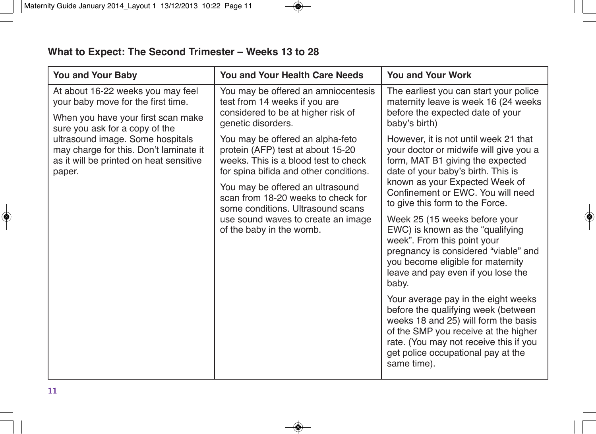| <b>You and Your Baby</b>                                                                                                                        | <b>You and Your Health Care Needs</b>                                                                                                                                                                                                                                                                                                    | <b>You and Your Work</b>                                                                                                                                                                                                                                                                                                                                                                                                                                                                                                                                                                                                                                                                                                                                         |  |  |  |  |  |  |  |
|-------------------------------------------------------------------------------------------------------------------------------------------------|------------------------------------------------------------------------------------------------------------------------------------------------------------------------------------------------------------------------------------------------------------------------------------------------------------------------------------------|------------------------------------------------------------------------------------------------------------------------------------------------------------------------------------------------------------------------------------------------------------------------------------------------------------------------------------------------------------------------------------------------------------------------------------------------------------------------------------------------------------------------------------------------------------------------------------------------------------------------------------------------------------------------------------------------------------------------------------------------------------------|--|--|--|--|--|--|--|
| At about 16-22 weeks you may feel<br>your baby move for the first time.<br>When you have your first scan make<br>sure you ask for a copy of the | You may be offered an amniocentesis<br>test from 14 weeks if you are<br>considered to be at higher risk of<br>genetic disorders.                                                                                                                                                                                                         | The earliest you can start your police<br>maternity leave is week 16 (24 weeks<br>before the expected date of your<br>baby's birth)                                                                                                                                                                                                                                                                                                                                                                                                                                                                                                                                                                                                                              |  |  |  |  |  |  |  |
| ultrasound image. Some hospitals<br>may charge for this. Don't laminate it<br>as it will be printed on heat sensitive<br>paper.                 | You may be offered an alpha-feto<br>protein (AFP) test at about 15-20<br>weeks. This is a blood test to check<br>for spina bifida and other conditions.<br>You may be offered an ultrasound<br>scan from 18-20 weeks to check for<br>some conditions. Ultrasound scans<br>use sound waves to create an image<br>of the baby in the womb. | However, it is not until week 21 that<br>your doctor or midwife will give you a<br>form, MAT B1 giving the expected<br>date of your baby's birth. This is<br>known as your Expected Week of<br>Confinement or EWC. You will need<br>to give this form to the Force.<br>Week 25 (15 weeks before your<br>EWC) is known as the "qualifying<br>week". From this point your<br>pregnancy is considered "viable" and<br>you become eligible for maternity<br>leave and pay even if you lose the<br>baby.<br>Your average pay in the eight weeks<br>before the qualifying week (between<br>weeks 18 and 25) will form the basis<br>of the SMP you receive at the higher<br>rate. (You may not receive this if you<br>get police occupational pay at the<br>same time). |  |  |  |  |  |  |  |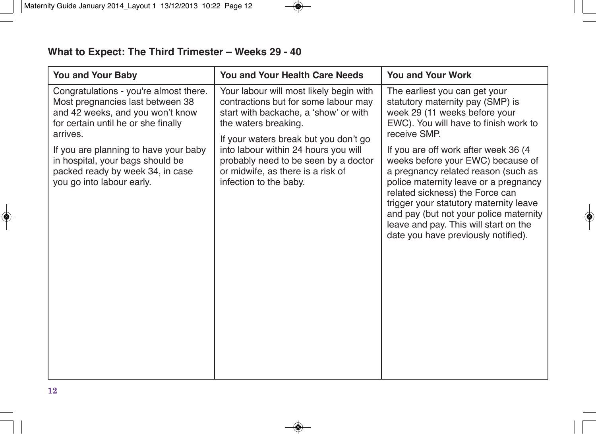| <b>You and Your Baby</b>                                                                                                                                                                                                                                                                                        | <b>You and Your Health Care Needs</b>                                                                                                                                                                                                                                                                                                    | <b>You and Your Work</b>                                                                                                                                                                                                                                                                                                                                                                                                                                                                                                         |
|-----------------------------------------------------------------------------------------------------------------------------------------------------------------------------------------------------------------------------------------------------------------------------------------------------------------|------------------------------------------------------------------------------------------------------------------------------------------------------------------------------------------------------------------------------------------------------------------------------------------------------------------------------------------|----------------------------------------------------------------------------------------------------------------------------------------------------------------------------------------------------------------------------------------------------------------------------------------------------------------------------------------------------------------------------------------------------------------------------------------------------------------------------------------------------------------------------------|
| Congratulations - you're almost there.<br>Most pregnancies last between 38<br>and 42 weeks, and you won't know<br>for certain until he or she finally<br>arrives.<br>If you are planning to have your baby<br>in hospital, your bags should be<br>packed ready by week 34, in case<br>you go into labour early. | Your labour will most likely begin with<br>contractions but for some labour may<br>start with backache, a 'show' or with<br>the waters breaking.<br>If your waters break but you don't go<br>into labour within 24 hours you will<br>probably need to be seen by a doctor<br>or midwife, as there is a risk of<br>infection to the baby. | The earliest you can get your<br>statutory maternity pay (SMP) is<br>week 29 (11 weeks before your<br>EWC). You will have to finish work to<br>receive SMP.<br>If you are off work after week 36 (4)<br>weeks before your EWC) because of<br>a pregnancy related reason (such as<br>police maternity leave or a pregnancy<br>related sickness) the Force can<br>trigger your statutory maternity leave<br>and pay (but not your police maternity<br>leave and pay. This will start on the<br>date you have previously notified). |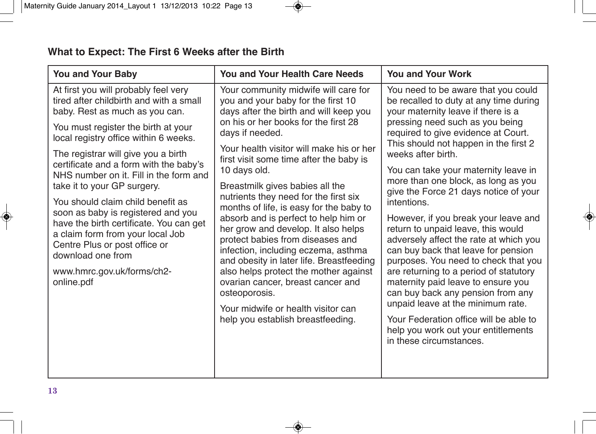#### **What to Expect: The First 6 Weeks after the Birth**

| <b>You and Your Baby</b>                                                                                                                                                                                                                                                                                                                                                                                                                                                                                                                                                                                                | <b>You and Your Health Care Needs</b>                                                                                                                                                                                                                                                                                                                                                                                                                                                                                                                                                                                                                                                                                                                                                         | <b>You and Your Work</b>                                                                                                                                                                                                                                                                                                                                                                                                                                                                                                                                                                                                                                                                                                                                                                                                                                                         |  |  |  |  |  |  |  |  |
|-------------------------------------------------------------------------------------------------------------------------------------------------------------------------------------------------------------------------------------------------------------------------------------------------------------------------------------------------------------------------------------------------------------------------------------------------------------------------------------------------------------------------------------------------------------------------------------------------------------------------|-----------------------------------------------------------------------------------------------------------------------------------------------------------------------------------------------------------------------------------------------------------------------------------------------------------------------------------------------------------------------------------------------------------------------------------------------------------------------------------------------------------------------------------------------------------------------------------------------------------------------------------------------------------------------------------------------------------------------------------------------------------------------------------------------|----------------------------------------------------------------------------------------------------------------------------------------------------------------------------------------------------------------------------------------------------------------------------------------------------------------------------------------------------------------------------------------------------------------------------------------------------------------------------------------------------------------------------------------------------------------------------------------------------------------------------------------------------------------------------------------------------------------------------------------------------------------------------------------------------------------------------------------------------------------------------------|--|--|--|--|--|--|--|--|
| At first you will probably feel very<br>tired after childbirth and with a small<br>baby. Rest as much as you can.<br>You must register the birth at your<br>local registry office within 6 weeks.<br>The registrar will give you a birth<br>certificate and a form with the baby's<br>NHS number on it. Fill in the form and<br>take it to your GP surgery.<br>You should claim child benefit as<br>soon as baby is registered and you<br>have the birth certificate. You can get<br>a claim form from your local Job<br>Centre Plus or post office or<br>download one from<br>www.hmrc.gov.uk/forms/ch2-<br>online.pdf | Your community midwife will care for<br>you and your baby for the first 10<br>days after the birth and will keep you<br>on his or her books for the first 28<br>days if needed.<br>Your health visitor will make his or her<br>first visit some time after the baby is<br>10 days old.<br>Breastmilk gives babies all the<br>nutrients they need for the first six<br>months of life, is easy for the baby to<br>absorb and is perfect to help him or<br>her grow and develop. It also helps<br>protect babies from diseases and<br>infection, including eczema, asthma<br>and obesity in later life. Breastfeeding<br>also helps protect the mother against<br>ovarian cancer, breast cancer and<br>osteoporosis.<br>Your midwife or health visitor can<br>help you establish breastfeeding. | You need to be aware that you could<br>be recalled to duty at any time during<br>your maternity leave if there is a<br>pressing need such as you being<br>required to give evidence at Court.<br>This should not happen in the first 2<br>weeks after birth.<br>You can take your maternity leave in<br>more than one block, as long as you<br>give the Force 21 days notice of your<br>intentions.<br>However, if you break your leave and<br>return to unpaid leave, this would<br>adversely affect the rate at which you<br>can buy back that leave for pension<br>purposes. You need to check that you<br>are returning to a period of statutory<br>maternity paid leave to ensure you<br>can buy back any pension from any<br>unpaid leave at the minimum rate.<br>Your Federation office will be able to<br>help you work out your entitlements<br>in these circumstances. |  |  |  |  |  |  |  |  |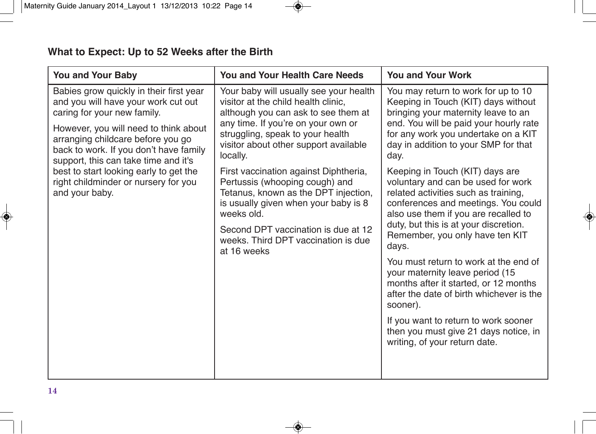| <b>You and Your Baby</b>                                                                                                                                                                                                                                                                                                                                                          | <b>You and Your Health Care Needs</b>                                                                                                                                                                                                                                                                                                                                                                                                                                                                      | <b>You and Your Work</b>                                                                                                                                                                                                                                                                                                                                                                                                                                                                                                       |  |  |  |  |  |  |  |  |
|-----------------------------------------------------------------------------------------------------------------------------------------------------------------------------------------------------------------------------------------------------------------------------------------------------------------------------------------------------------------------------------|------------------------------------------------------------------------------------------------------------------------------------------------------------------------------------------------------------------------------------------------------------------------------------------------------------------------------------------------------------------------------------------------------------------------------------------------------------------------------------------------------------|--------------------------------------------------------------------------------------------------------------------------------------------------------------------------------------------------------------------------------------------------------------------------------------------------------------------------------------------------------------------------------------------------------------------------------------------------------------------------------------------------------------------------------|--|--|--|--|--|--|--|--|
| Babies grow quickly in their first year<br>and you will have your work cut out<br>caring for your new family.<br>However, you will need to think about<br>arranging childcare before you go<br>back to work. If you don't have family<br>support, this can take time and it's<br>best to start looking early to get the<br>right childminder or nursery for you<br>and your baby. | Your baby will usually see your health<br>visitor at the child health clinic,<br>although you can ask to see them at<br>any time. If you're on your own or<br>struggling, speak to your health<br>visitor about other support available<br>locally.<br>First vaccination against Diphtheria,<br>Pertussis (whooping cough) and<br>Tetanus, known as the DPT injection,<br>is usually given when your baby is 8<br>weeks old.<br>Second DPT vaccination is due at 12<br>weeks. Third DPT vaccination is due | You may return to work for up to 10<br>Keeping in Touch (KIT) days without<br>bringing your maternity leave to an<br>end. You will be paid your hourly rate<br>for any work you undertake on a KIT<br>day in addition to your SMP for that<br>day.<br>Keeping in Touch (KIT) days are<br>voluntary and can be used for work<br>related activities such as training,<br>conferences and meetings. You could<br>also use them if you are recalled to<br>duty, but this is at your discretion.<br>Remember, you only have ten KIT |  |  |  |  |  |  |  |  |
|                                                                                                                                                                                                                                                                                                                                                                                   | at 16 weeks                                                                                                                                                                                                                                                                                                                                                                                                                                                                                                | days.<br>You must return to work at the end of<br>your maternity leave period (15<br>months after it started, or 12 months<br>after the date of birth whichever is the<br>sooner).<br>If you want to return to work sooner<br>then you must give 21 days notice, in<br>writing, of your return date.                                                                                                                                                                                                                           |  |  |  |  |  |  |  |  |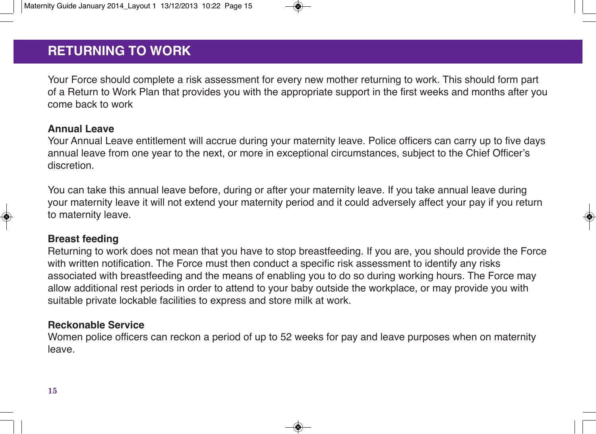## **RETURNING TO WORK RETURNING TO WORK**

Your Force should complete a risk assessment for every new mother returning to work. This should form part of a Return to Work Plan that provides you with the appropriate support in the first weeks and months after you come back to work

#### **Annual Leave**

Your Annual Leave entitlement will accrue during your maternity leave. Police officers can carry up to five days annual leave from one year to the next, or more in exceptional circumstances, subject to the Chief Officer's discretion.

You can take this annual leave before, during or after your maternity leave. If you take annual leave during your maternity leave it will not extend your maternity period and it could adversely affect your pay if you return to maternity leave.

#### **Breast feeding**

Returning to work does not mean that you have to stop breastfeeding. If you are, you should provide the Force with written notification. The Force must then conduct a specific risk assessment to identify any risks associated with breastfeeding and the means of enabling you to do so during working hours. The Force may allow additional rest periods in order to attend to your baby outside the workplace, or may provide you with suitable private lockable facilities to express and store milk at work.

#### **Reckonable Service**

Women police officers can reckon a period of up to 52 weeks for pay and leave purposes when on maternity leave.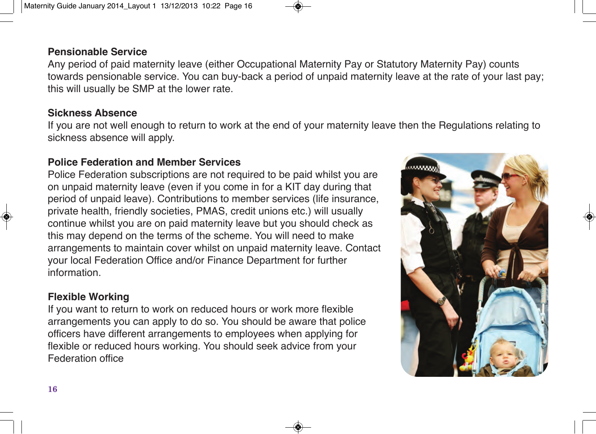# information.

#### **Flexible Working**

If you want to return to work on reduced hours or work more flexible arrangements you can apply to do so. You should be aware that police officers have different arrangements to employees when applying for flexible or reduced hours working. You should seek advice from your Federation office

#### **Pensionable Service**

Any period of paid maternity leave (either Occupational Maternity Pay or Statutory Maternity Pay) counts towards pensionable service. You can buy-back a period of unpaid maternity leave at the rate of your last pay; this will usually be SMP at the lower rate.

#### **Sickness Absence**

If you are not well enough to return to work at the end of your maternity leave then the Regulations relating to sickness absence will apply.

#### **Police Federation and Member Services**

Police Federation subscriptions are not required to be paid whilst you are on unpaid maternity leave (even if you come in for a KIT day during that period of unpaid leave). Contributions to member services (life insurance, private health, friendly societies, PMAS, credit unions etc.) will usually continue whilst you are on paid maternity leave but you should check as this may depend on the terms of the scheme. You will need to make arrangements to maintain cover whilst on unpaid maternity leave. Contact your local Federation Office and/or Finance Department for further

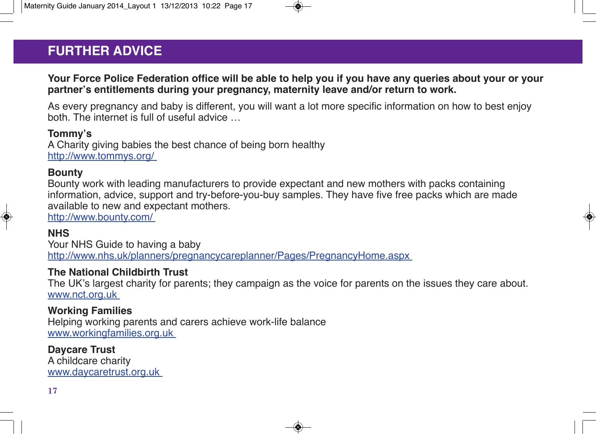# **FURTHER ADVICE FURTHER ADVICE**

#### **Your Force Police Federation office will be able to help you if you have any queries about your or your partner's entitlements during your pregnancy, maternity leave and/or return to work.**

As every pregnancy and baby is different, you will want a lot more specific information on how to best enjoy both. The internet is full of useful advice …

#### **Tommy's**

A Charity giving babies the best chance of being born healthy http://www.tommys.org/

#### **Bounty**

Bounty work with leading manufacturers to provide expectant and new mothers with packs containing information, advice, support and try-before-you-buy samples. They have five free packs which are made available to new and expectant mothers.

http://www.bounty.com/

#### **NHS**

Your NHS Guide to having a baby http://www.nhs.uk/planners/pregnancycareplanner/Pages/PregnancyHome.aspx

#### **The National Childbirth Trust**

The UK's largest charity for parents; they campaign as the voice for parents on the issues they care about. www.nct.org.uk

#### **Working Families**

Helping working parents and carers achieve work-life balance www.workingfamilies.org.uk

**Daycare Trust** A childcare charity www.daycaretrust.org.uk